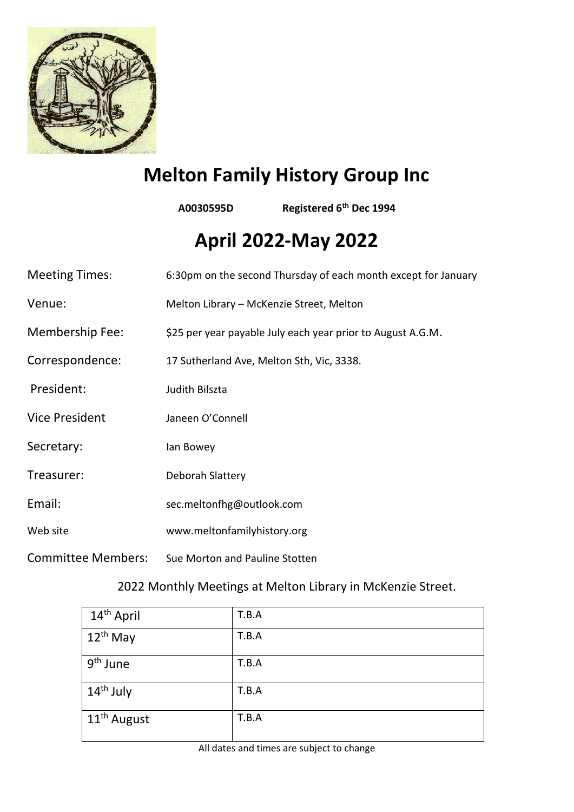

# **Melton Family History Group Inc**

**A0030595D Registered 6th Dec 1994**

# **April 2022-May 2022**

| <b>Meeting Times:</b>     | 6:30pm on the second Thursday of each month except for January |  |
|---------------------------|----------------------------------------------------------------|--|
| Venue:                    | Melton Library - McKenzie Street, Melton                       |  |
| <b>Membership Fee:</b>    | \$25 per year payable July each year prior to August A.G.M.    |  |
| Correspondence:           | 17 Sutherland Ave, Melton Sth, Vic, 3338.                      |  |
| President:                | Judith Bilszta                                                 |  |
| <b>Vice President</b>     | Janeen O'Connell                                               |  |
| Secretary:                | lan Bowey                                                      |  |
| Treasurer:                | Deborah Slattery                                               |  |
| Email:                    | sec.meltonfhg@outlook.com                                      |  |
| Web site                  | www.meltonfamilyhistory.org                                    |  |
| <b>Committee Members:</b> | Sue Morton and Pauline Stotten                                 |  |

### 2022 Monthly Meetings at Melton Library in McKenzie Street.

| 14 <sup>th</sup> April  | T.B.A |
|-------------------------|-------|
| $12^{th}$ May           | T.B.A |
| 9 <sup>th</sup> June    | T.B.A |
| 14 <sup>th</sup> July   | T.B.A |
| 11 <sup>th</sup> August | T.B.A |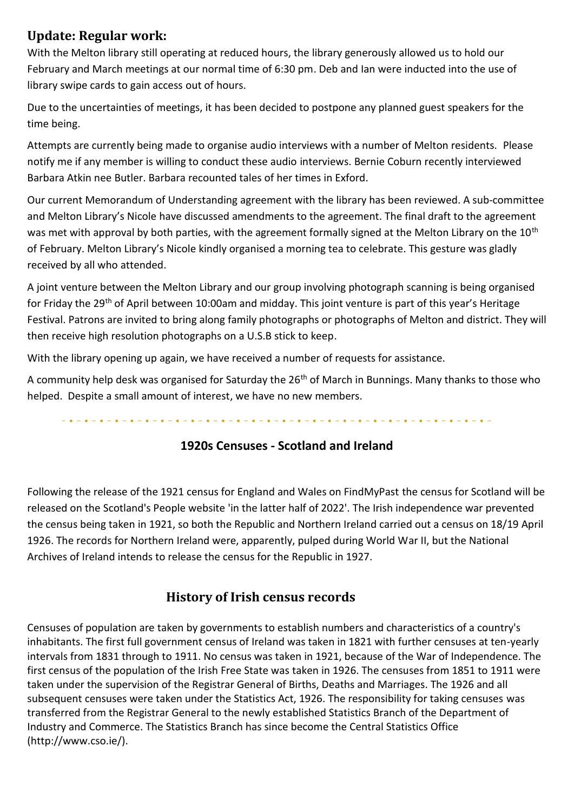### **Update: Regular work:**

With the Melton library still operating at reduced hours, the library generously allowed us to hold our February and March meetings at our normal time of 6:30 pm. Deb and Ian were inducted into the use of library swipe cards to gain access out of hours.

Due to the uncertainties of meetings, it has been decided to postpone any planned guest speakers for the time being.

Attempts are currently being made to organise audio interviews with a number of Melton residents. Please notify me if any member is willing to conduct these audio interviews. Bernie Coburn recently interviewed Barbara Atkin nee Butler. Barbara recounted tales of her times in Exford.

Our current Memorandum of Understanding agreement with the library has been reviewed. A sub-committee and Melton Library's Nicole have discussed amendments to the agreement. The final draft to the agreement was met with approval by both parties, with the agreement formally signed at the Melton Library on the 10<sup>th</sup> of February. Melton Library's Nicole kindly organised a morning tea to celebrate. This gesture was gladly received by all who attended.

A joint venture between the Melton Library and our group involving photograph scanning is being organised for Friday the 29<sup>th</sup> of April between 10:00am and midday. This joint venture is part of this year's Heritage Festival. Patrons are invited to bring along family photographs or photographs of Melton and district. They will then receive high resolution photographs on a U.S.B stick to keep.

With the library opening up again, we have received a number of requests for assistance.

A community help desk was organised for Saturday the 26<sup>th</sup> of March in Bunnings. Many thanks to those who helped. Despite a small amount of interest, we have no new members.

#### **1920s Censuses - Scotland and Ireland**

Following the release of the 1921 census for England and Wales on FindMyPast the census for Scotland will be released on the Scotland's People website 'in the latter half of 2022'. The Irish independence war prevented the census being taken in 1921, so both the Republic and Northern Ireland carried out a census on 18/19 April 1926. The records for Northern Ireland were, apparently, pulped during World War II, but the National Archives of Ireland intends to release the census for the Republic in 1927.

#### **History of Irish census records**

Censuses of population are taken by governments to establish numbers and characteristics of a country's inhabitants. The first full government census of Ireland was taken in 1821 with further censuses at ten-yearly intervals from 1831 through to 1911. No census was taken in 1921, because of the War of Independence. The first census of the population of the Irish Free State was taken in 1926. The censuses from 1851 to 1911 were taken under the supervision of the Registrar General of Births, Deaths and Marriages. The 1926 and all subsequent censuses were taken under the Statistics Act, 1926. The responsibility for taking censuses was transferred from the Registrar General to the newly established Statistics Branch of the Department of Industry and Commerce. The Statistics Branch has since become the Central Statistics Office (http://www.cso.ie/).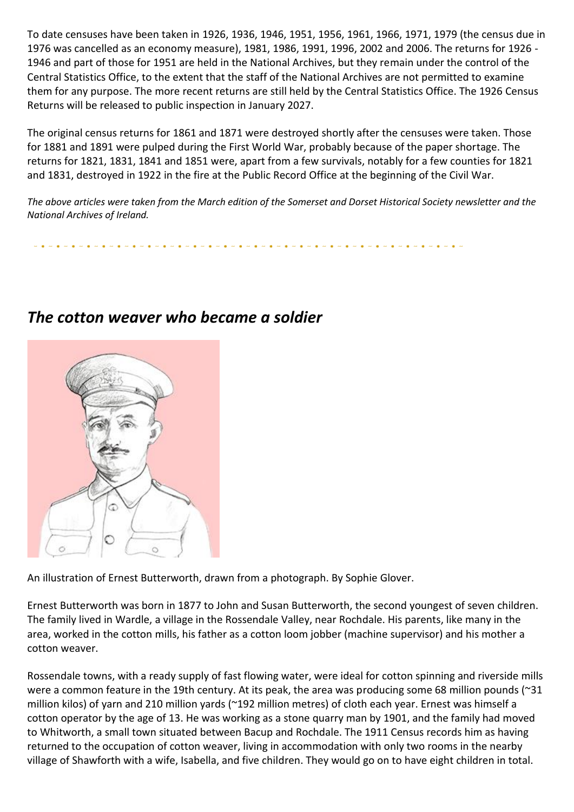To date censuses have been taken in 1926, 1936, 1946, 1951, 1956, 1961, 1966, 1971, 1979 (the census due in 1976 was cancelled as an economy measure), 1981, 1986, 1991, 1996, 2002 and 2006. The returns for 1926 - 1946 and part of those for 1951 are held in the National Archives, but they remain under the control of the Central Statistics Office, to the extent that the staff of the National Archives are not permitted to examine them for any purpose. The more recent returns are still held by the Central Statistics Office. The 1926 Census Returns will be released to public inspection in January 2027.

The original census returns for 1861 and 1871 were destroyed shortly after the censuses were taken. Those for 1881 and 1891 were pulped during the First World War, probably because of the paper shortage. The returns for 1821, 1831, 1841 and 1851 were, apart from a few survivals, notably for a few counties for 1821 and 1831, destroyed in 1922 in the fire at the Public Record Office at the beginning of the Civil War.

*The above articles were taken from the March edition of the Somerset and Dorset Historical Society newsletter and the National Archives of Ireland.*

## *The cotton weaver who became a soldier*



An illustration of Ernest Butterworth, drawn from a photograph. By Sophie Glover.

Ernest Butterworth was born in 1877 to John and Susan Butterworth, the second youngest of seven children. The family lived in Wardle, a village in the Rossendale Valley, near Rochdale. His parents, like many in the area, worked in the cotton mills, his father as a cotton loom jobber (machine supervisor) and his mother a cotton weaver.

Rossendale towns, with a ready supply of fast flowing water, were ideal for cotton spinning and riverside mills were a common feature in the 19th century. At its peak, the area was producing some 68 million pounds (~31 million kilos) of yarn and 210 million yards (~192 million metres) of cloth each year. Ernest was himself a cotton operator by the age of 13. He was working as a stone quarry man by 1901, and the family had moved to Whitworth, a small town situated between Bacup and Rochdale. The 1911 Census records him as having returned to the occupation of cotton weaver, living in accommodation with only two rooms in the nearby village of Shawforth with a wife, Isabella, and five children. They would go on to have eight children in total.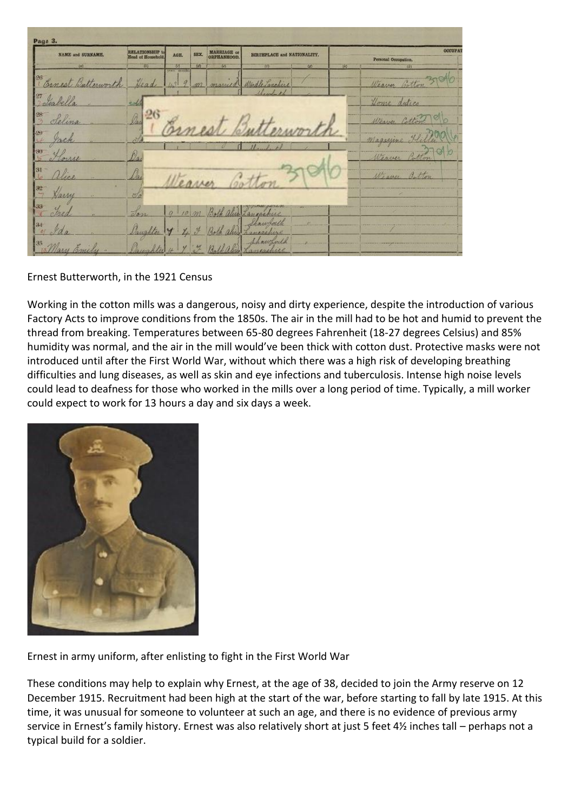| <b>NAME and SURNAME,</b>       | RELATIONSHIP to<br>Head of Household, | SEX.<br>AGE.                    | MARRIAGE or ORPHANHOOD. | BIRTHPLACE and NATIONALITY. |     | <b>OCCUPAT</b><br>Personal Occupation. |  |
|--------------------------------|---------------------------------------|---------------------------------|-------------------------|-----------------------------|-----|----------------------------------------|--|
| (8)                            | $ b\rangle$                           | 材<br>years uncertain            | (4)<br>$\omega$         | (8)<br>$\alpha$             | 145 | (4)                                    |  |
| 26<br>Banca<br>B.<br>tterworth | Head                                  | 9<br>1.31                       | m<br>marine             | Wordle Lanchine             |     | Weaver Cotton                          |  |
| 27<br>Isabella                 | <b>Cold</b>                           |                                 |                         | Shambon                     |     | Home duties                            |  |
| $^{28}$<br>Selina              | Dar                                   |                                 |                         |                             |     | Weaver Cotton                          |  |
|                                | òti                                   |                                 |                         |                             |     | Magazine                               |  |
| -50                            | Os.                                   |                                 |                         |                             |     | Weaver<br>on                           |  |
| Vice                           | Ou                                    |                                 |                         |                             |     | We aver<br>Button                      |  |
| <b>a</b><br>Harry              | $\mathcal{O}$                         |                                 |                         |                             |     |                                        |  |
| 33<br>otre                     | Son                                   | $\alpha$<br>10.001              |                         | ancashere                   |     |                                        |  |
| $34 -$<br>Ida                  | Daughter                              | $\overline{y}$<br>$\frac{1}{2}$ | $\mathcal{F}$           | hawborth<br>w               |     |                                        |  |

Ernest Butterworth, in the 1921 Census

Working in the cotton mills was a dangerous, noisy and dirty experience, despite the introduction of various Factory Acts to improve conditions from the 1850s. The air in the mill had to be hot and humid to prevent the thread from breaking. Temperatures between 65-80 degrees Fahrenheit (18-27 degrees Celsius) and 85% humidity was normal, and the air in the mill would've been thick with cotton dust. Protective masks were not introduced until after the First World War, without which there was a high risk of developing breathing difficulties and lung diseases, as well as skin and eye infections and tuberculosis. Intense high noise levels could lead to deafness for those who worked in the mills over a long period of time. Typically, a mill worker could expect to work for 13 hours a day and six days a week.



Ernest in army uniform, after enlisting to fight in the First World War

These conditions may help to explain why Ernest, at the age of 38, decided to join the Army reserve on 12 December 1915. Recruitment had been high at the start of the war, before starting to fall by late 1915. At this time, it was unusual for someone to volunteer at such an age, and there is no evidence of previous army service in Ernest's family history. Ernest was also relatively short at just 5 feet 4½ inches tall – perhaps not a typical build for a soldier.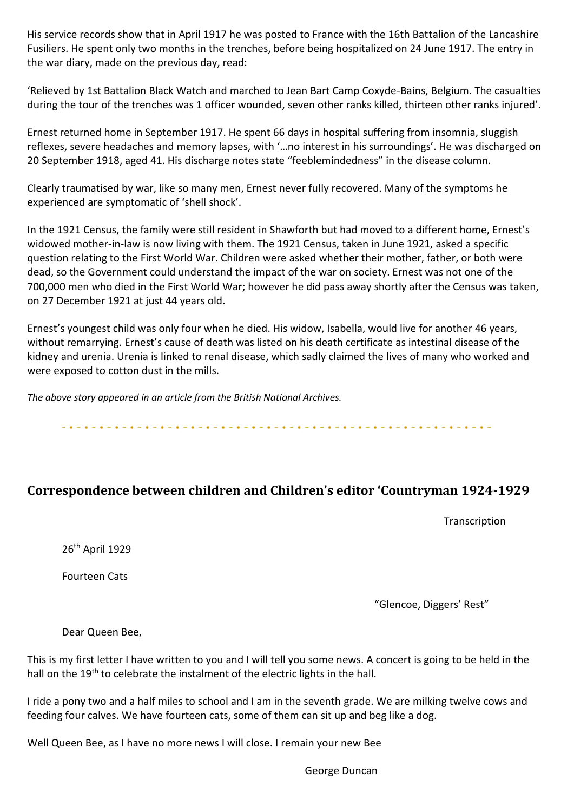His service records show that in April 1917 he was posted to France with the 16th Battalion of the Lancashire Fusiliers. He spent only two months in the trenches, before being hospitalized on 24 June 1917. The entry in the war diary, made on the previous day, read:

'Relieved by 1st Battalion Black Watch and marched to Jean Bart Camp Coxyde-Bains, Belgium. The casualties during the tour of the trenches was 1 officer wounded, seven other ranks killed, thirteen other ranks injured'.

Ernest returned home in September 1917. He spent 66 days in hospital suffering from insomnia, sluggish reflexes, severe headaches and memory lapses, with '…no interest in his surroundings'. He was discharged on 20 September 1918, aged 41. His discharge notes state "feeblemindedness" in the disease column.

Clearly traumatised by war, like so many men, Ernest never fully recovered. Many of the symptoms he experienced are symptomatic of 'shell shock'.

In the 1921 Census, the family were still resident in Shawforth but had moved to a different home, Ernest's widowed mother-in-law is now living with them. The 1921 Census, taken in June 1921, asked a specific question relating to the First World War. Children were asked whether their mother, father, or both were dead, so the Government could understand the impact of the war on society. Ernest was not one of the 700,000 men who died in the First World War; however he did pass away shortly after the Census was taken, on 27 December 1921 at just 44 years old.

Ernest's youngest child was only four when he died. His widow, Isabella, would live for another 46 years, without remarrying. Ernest's cause of death was listed on his death certificate as intestinal disease of the kidney and urenia. Urenia is linked to renal disease, which sadly claimed the lives of many who worked and were exposed to cotton dust in the mills.

*The above story appeared in an article from the British National Archives.*

#### **Correspondence between children and Children's editor 'Countryman 1924-1929**

**Transcription** 

26th April 1929

Fourteen Cats

"Glencoe, Diggers' Rest"

Dear Queen Bee,

This is my first letter I have written to you and I will tell you some news. A concert is going to be held in the hall on the 19<sup>th</sup> to celebrate the instalment of the electric lights in the hall.

I ride a pony two and a half miles to school and I am in the seventh grade. We are milking twelve cows and feeding four calves. We have fourteen cats, some of them can sit up and beg like a dog.

Well Queen Bee, as I have no more news I will close. I remain your new Bee

George Duncan